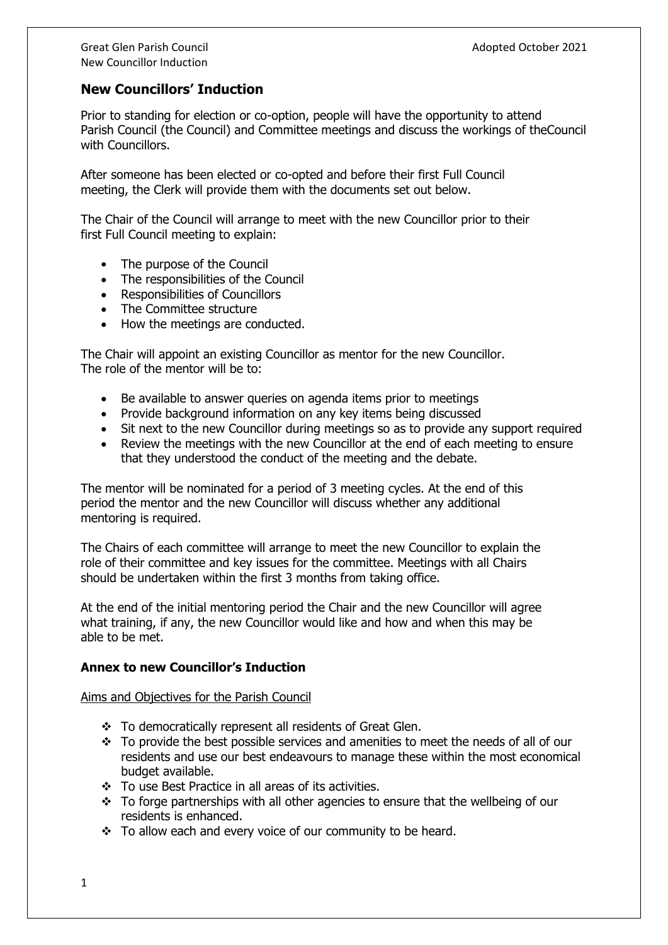## **New Councillors' Induction**

Prior to standing for election or co-option, people will have the opportunity to attend Parish Council (the Council) and Committee meetings and discuss the workings of theCouncil with Councillors.

After someone has been elected or co-opted and before their first Full Council meeting, the Clerk will provide them with the documents set out below.

The Chair of the Council will arrange to meet with the new Councillor prior to their first Full Council meeting to explain:

- The purpose of the Council
- The responsibilities of the Council
- Responsibilities of Councillors
- The Committee structure
- How the meetings are conducted.

The Chair will appoint an existing Councillor as mentor for the new Councillor. The role of the mentor will be to:

- Be available to answer queries on agenda items prior to meetings
- Provide background information on any key items being discussed
- Sit next to the new Councillor during meetings so as to provide any support required
- Review the meetings with the new Councillor at the end of each meeting to ensure that they understood the conduct of the meeting and the debate.

The mentor will be nominated for a period of 3 meeting cycles. At the end of this period the mentor and the new Councillor will discuss whether any additional mentoring is required.

The Chairs of each committee will arrange to meet the new Councillor to explain the role of their committee and key issues for the committee. Meetings with all Chairs should be undertaken within the first 3 months from taking office.

At the end of the initial mentoring period the Chair and the new Councillor will agree what training, if any, the new Councillor would like and how and when this may be able to be met.

## **Annex to new Councillor's Induction**

Aims and Objectives for the Parish Council

- ❖ To democratically represent all residents of Great Glen.
- $\cdot \cdot$  To provide the best possible services and amenities to meet the needs of all of our residents and use our best endeavours to manage these within the most economical budget available.
- ❖ To use Best Practice in all areas of its activities.
- ❖ To forge partnerships with all other agencies to ensure that the wellbeing of our residents is enhanced.
- ❖ To allow each and every voice of our community to be heard.